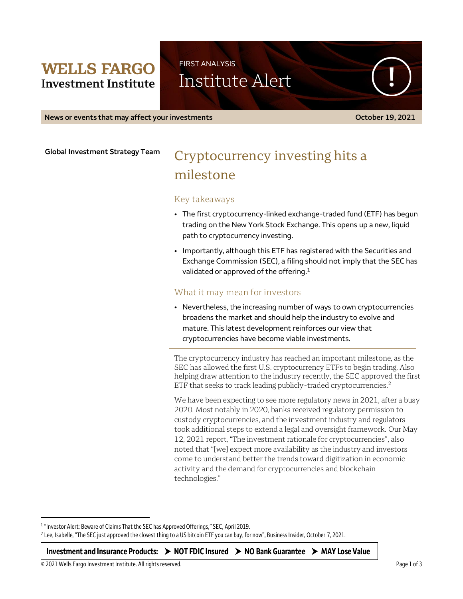## **WELLS FARGO Investment Institute**

FIRST ANALYSIS

Institute Alert

**News or events that may affect your investments COLOGIC CONSTRANT CONSTRANT CONSTRANT CONSTRANT CONSTRANT CONSTRANT CONSTRANT CONSTRANT CONSTRANT CONSTRANT CONSTRANT CONSTRANT CONSTRANT CONSTRANT CONSTRANT CONSTRANT CON** 

**Global Investment Strategy Team**

# Cryptocurrency investing hits a milestone

### Key takeaways

- The first cryptocurrency-linked exchange-traded fund (ETF) has begun trading on the New York Stock Exchange. This opens up a new, liquid path to cryptocurrency investing.
- Importantly, although this ETF has registered with the Securities and Exchange Commission (SEC), a filing should not imply that the SEC has validated or approved of the offering. $1$

## What it may mean for investors

• Nevertheless, the increasing number of ways to own cryptocurrencies broadens the market and should help the industry to evolve and mature. This latest development reinforces our view that cryptocurrencies have become viable investments.

The cryptocurrency industry has reached an important milestone, as the SEC has allowed the first U.S. cryptocurrency ETFs to begin trading. Also helping draw attention to the industry recently, the SEC approved the first ETF that seeks to track leading publicly-traded cryptocurrencies.<sup>2</sup>

We have been expecting to see more regulatory news in 2021, after a busy 2020. Most notably in 2020, banks received regulatory permission to custody cryptocurrencies, and the investment industry and regulators took additional steps to extend a legal and oversight framework. Our May 12, 2021 report, "The investment rationale for cryptocurrencies", also noted that "[we] expect more availability as the industry and investors come to understand better the trends toward digitization in economic activity and the demand for cryptocurrencies and blockchain technologies."

<sup>1</sup> "Investor Alert: Beware of Claims That the SEC has Approved Offerings," SEC, April 2019.

**Investment and Insurance Products: NOT FDIC Insured NO Bank Guarantee MAY Lose Value**

 $\overline{a}$ 

<sup>2</sup> Lee, Isabelle, "The SEC just approved the closest thing to a US bitcoin ETF you can buy, for now", Business Insider, October 7, 2021.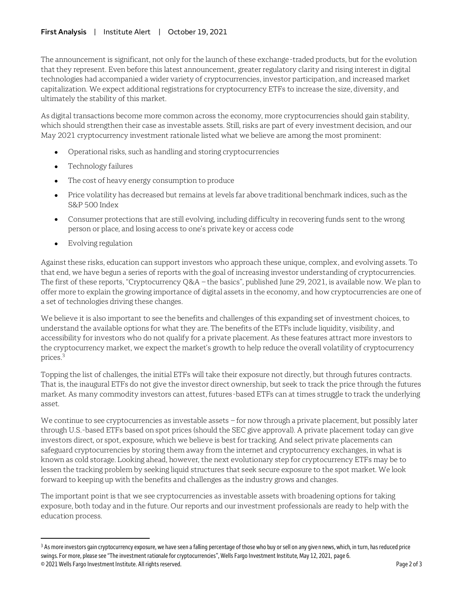The announcement is significant, not only for the launch of these exchange-traded products, but for the evolution that they represent. Even before this latest announcement, greater regulatory clarity and rising interest in digital technologies had accompanied a wider variety of cryptocurrencies, investor participation, and increased market capitalization. We expect additional registrations for cryptocurrency ETFs to increase the size, diversity, and ultimately the stability of this market.

As digital transactions become more common across the economy, more cryptocurrencies should gain stability, which should strengthen their case as investable assets. Still, risks are part of every investment decision, and our May 2021 cryptocurrency investment rationale listed what we believe are among the most prominent:

- Operational risks, such as handling and storing cryptocurrencies
- Technology failures
- The cost of heavy energy consumption to produce
- Price volatility has decreased but remains at levels far above traditional benchmark indices, such as the S&P 500 Index
- Consumer protections that are still evolving, including difficulty in recovering funds sent to the wrong person or place, and losing access to one's private key or access code
- Evolving regulation

 $\overline{a}$ 

Against these risks, education can support investors who approach these unique, complex, and evolving assets. To that end, we have begun a series of reports with the goal of increasing investor understanding of cryptocurrencies. The first of these reports, "Cryptocurrency Q&A – the basics", published June 29, 2021, is available now. We plan to offer more to explain the growing importance of digital assets in the economy, and how cryptocurrencies are one of a set of technologies driving these changes.

We believe it is also important to see the benefits and challenges of this expanding set of investment choices, to understand the available options for what they are. The benefits of the ETFs include liquidity, visibility, and accessibility for investors who do not qualify for a private placement. As these features attract more investors to the cryptocurrency market, we expect the market's growth to help reduce the overall volatility of cryptocurrency prices.<sup>3</sup>

Topping the list of challenges, the initial ETFs will take their exposure not directly, but through futures contracts. That is, the inaugural ETFs do not give the investor direct ownership, but seek to track the price through the futures market. As many commodity investors can attest, futures-based ETFs can at times struggle to track the underlying asset.

We continue to see cryptocurrencies as investable assets – for now through a private placement, but possibly later through U.S.-based ETFs based on spot prices (should the SEC give approval). A private placement today can give investors direct, or spot, exposure, which we believe is best for tracking. And select private placements can safeguard cryptocurrencies by storing them away from the internet and cryptocurrency exchanges, in what is known as cold storage. Looking ahead, however, the next evolutionary step for cryptocurrency ETFs may be to lessen the tracking problem by seeking liquid structures that seek secure exposure to the spot market. We look forward to keeping up with the benefits and challenges as the industry grows and changes.

The important point is that we see cryptocurrencies as investable assets with broadening options for taking exposure, both today and in the future. Our reports and our investment professionals are ready to help with the education process.

<sup>© 2021</sup> Wells Fargo Investment Institute. All rights reserved. Page 2 of 3 <sup>3</sup> As more investors gain cryptocurrency exposure, we have seen a falling percentage of those who buy or sell on any given news, which, in turn, has reduced price swings. For more, please see "The investment rationale for cryptocurrencies", Wells Fargo Investment Institute, May 12, 2021, page 6.